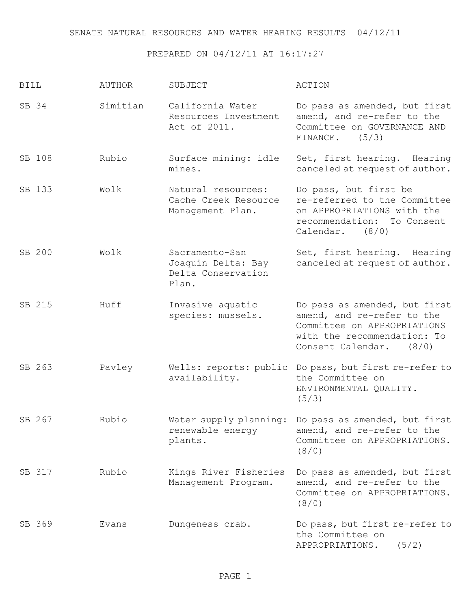## PREPARED ON 04/12/11 AT 16:17:27

| <b>BILL</b> | <b>AUTHOR</b> | SUBJECT                                                             | ACTION                                                                                                                                               |
|-------------|---------------|---------------------------------------------------------------------|------------------------------------------------------------------------------------------------------------------------------------------------------|
| SB 34       | Simitian      | California Water<br>Resources Investment<br>Act of 2011.            | Do pass as amended, but first<br>amend, and re-refer to the<br>Committee on GOVERNANCE AND<br>(5/3)<br>FINANCE.                                      |
| SB 108      | Rubio         | Surface mining: idle<br>mines.                                      | Set, first hearing. Hearing<br>canceled at request of author.                                                                                        |
| SB 133      | Wolk          | Natural resources:<br>Cache Creek Resource<br>Management Plan.      | Do pass, but first be<br>re-referred to the Committee<br>on APPROPRIATIONS with the<br>recommendation:<br>To Consent<br>Calendar.<br>(8/0)           |
| SB 200      | Wolk          | Sacramento-San<br>Joaquin Delta: Bay<br>Delta Conservation<br>Plan. | Set, first hearing. Hearing<br>canceled at request of author.                                                                                        |
| SB 215      | Huff          | Invasive aquatic<br>species: mussels.                               | Do pass as amended, but first<br>amend, and re-refer to the<br>Committee on APPROPRIATIONS<br>with the recommendation: To<br>Consent Calendar. (8/0) |
| SB 263      | Pavley        | Wells: reports: public<br>availability.                             | Do pass, but first re-refer to<br>the Committee on<br>ENVIRONMENTAL QUALITY.<br>(5/3)                                                                |
| SB 267      | Rubio         | Water supply planning:<br>renewable energy<br>plants.               | Do pass as amended, but first<br>amend, and re-refer to the<br>Committee on APPROPRIATIONS.<br>(8/0)                                                 |
| SB 317      | Rubio         | Kings River Fisheries<br>Management Program.                        | Do pass as amended, but first<br>amend, and re-refer to the<br>Committee on APPROPRIATIONS.<br>(8/0)                                                 |
| SB 369      | Evans         | Dungeness crab.                                                     | Do pass, but first re-refer to<br>the Committee on<br>APPROPRIATIONS.<br>(5/2)                                                                       |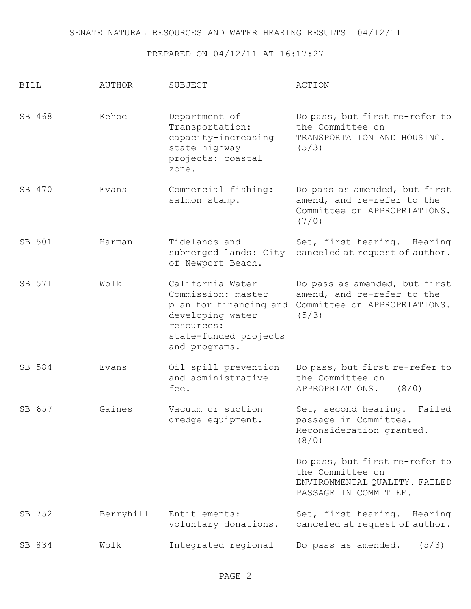## PREPARED ON 04/12/11 AT 16:17:27

| <b>BILL</b> | <b>AUTHOR</b> | SUBJECT                                                                                                                                      | <b>ACTION</b>                                                                                                |
|-------------|---------------|----------------------------------------------------------------------------------------------------------------------------------------------|--------------------------------------------------------------------------------------------------------------|
| SB 468      | Kehoe         | Department of<br>Transportation:<br>capacity-increasing<br>state highway<br>projects: coastal<br>zone.                                       | Do pass, but first re-refer to<br>the Committee on<br>TRANSPORTATION AND HOUSING.<br>(5/3)                   |
| SB 470      | Evans         | Commercial fishing:<br>salmon stamp.                                                                                                         | Do pass as amended, but first<br>amend, and re-refer to the<br>Committee on APPROPRIATIONS.<br>(7/0)         |
| SB 501      | Harman        | Tidelands and<br>submerged lands: City<br>of Newport Beach.                                                                                  | Set, first hearing. Hearing<br>canceled at request of author.                                                |
| SB 571      | Wolk          | California Water<br>Commission: master<br>plan for financing and<br>developing water<br>resources:<br>state-funded projects<br>and programs. | Do pass as amended, but first<br>amend, and re-refer to the<br>Committee on APPROPRIATIONS.<br>(5/3)         |
| SB 584      | Evans         | Oil spill prevention<br>and administrative<br>fee.                                                                                           | Do pass, but first re-refer to<br>the Committee on<br>(8/0)<br>APPROPRIATIONS.                               |
| SB 657      | Gaines        | Vacuum or suction<br>dredge equipment.                                                                                                       | Set, second hearing.<br>Failed<br>passage in Committee.<br>Reconsideration granted.<br>(8/0)                 |
|             |               |                                                                                                                                              | Do pass, but first re-refer to<br>the Committee on<br>ENVIRONMENTAL QUALITY. FAILED<br>PASSAGE IN COMMITTEE. |
| SB 752      | Berryhill     | Entitlements:<br>voluntary donations.                                                                                                        | Set, first hearing. Hearing<br>canceled at request of author.                                                |
| SB 834      | Wolk          | Integrated regional                                                                                                                          | Do pass as amended.<br>(5/3)                                                                                 |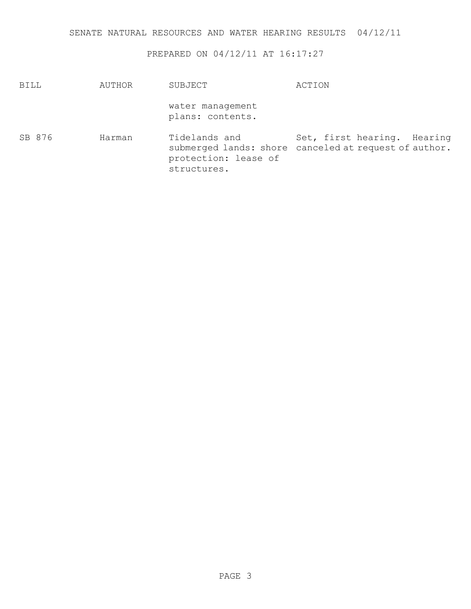## PREPARED ON 04/12/11 AT 16:17:27

| BILL   | AUTHOR | SUBJECT                                              | ACTION                                                                               |
|--------|--------|------------------------------------------------------|--------------------------------------------------------------------------------------|
|        |        | water management<br>plans: contents.                 |                                                                                      |
| SB 876 | Harman | Tidelands and<br>protection: lease of<br>structures. | Set, first hearing. Hearing<br>submerged lands: shore canceled at request of author. |

PAGE 3